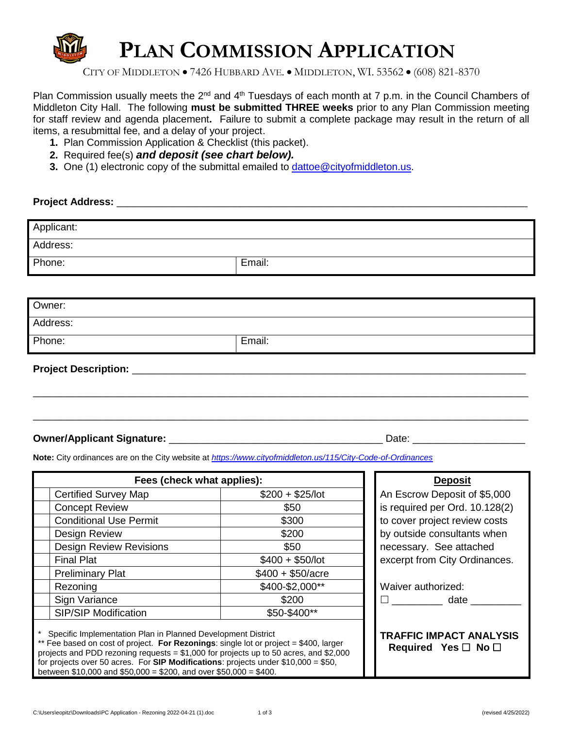

CITY OF MIDDLETON • 7426 HUBBARD AVE. • MIDDLETON, WI. 53562 • (608) 821-8370

Plan Commission usually meets the  $2^{nd}$  and  $4^{th}$  Tuesdays of each month at 7 p.m. in the Council Chambers of Middleton City Hall. The following **must be submitted THREE weeks** prior to any Plan Commission meeting for staff review and agenda placement**.** Failure to submit a complete package may result in the return of all items, a resubmittal fee, and a delay of your project.

- **1.** Plan Commission Application & Checklist (this packet).
- **2.** Required fee(s) *and deposit (see chart below).*
- **3.** One (1) electronic copy of the submittal emailed to [dattoe@cityofmiddleton.us.](mailto:dattoe@cityofmiddleton.us)

#### **Project Address:** <u>and the set of the set of the set of the set of the set of the set of the set of the set of the set of the set of the set of the set of the set of the set of the set of the set of the set of the set of </u>

| Email:                           |  |  |
|----------------------------------|--|--|
|                                  |  |  |
|                                  |  |  |
|                                  |  |  |
|                                  |  |  |
|                                  |  |  |
| Email:                           |  |  |
| <b>Project Description:</b> ____ |  |  |
|                                  |  |  |

\_\_\_\_\_\_\_\_\_\_\_\_\_\_\_\_\_\_\_\_\_\_\_\_\_\_\_\_\_\_\_\_\_\_\_\_\_\_\_\_\_\_\_\_\_\_\_\_\_\_\_\_\_\_\_\_\_\_\_\_\_\_\_\_\_\_\_\_\_\_\_\_\_\_\_\_\_\_\_\_\_\_\_\_\_\_\_\_

#### **Owner/Applicant Signature:** \_\_\_\_\_\_\_\_\_\_\_\_\_\_\_\_\_\_\_\_\_\_\_\_\_\_\_\_\_\_\_\_\_\_\_\_\_\_ Date: \_\_\_\_\_\_\_\_\_\_\_\_\_\_\_\_\_\_\_\_

**Note:** City ordinances are on the City website at *<https://www.cityofmiddleton.us/115/City-Code-of-Ordinances>*

| Fees (check what applies):                                                                                                                                                                                                                                                                                                             |                    | <b>Deposit</b>                                                  |
|----------------------------------------------------------------------------------------------------------------------------------------------------------------------------------------------------------------------------------------------------------------------------------------------------------------------------------------|--------------------|-----------------------------------------------------------------|
| <b>Certified Survey Map</b>                                                                                                                                                                                                                                                                                                            | $$200 + $25/$ lot  | An Escrow Deposit of \$5,000                                    |
| <b>Concept Review</b>                                                                                                                                                                                                                                                                                                                  | \$50               | is required per Ord. 10.128(2)                                  |
| <b>Conditional Use Permit</b>                                                                                                                                                                                                                                                                                                          | \$300              | to cover project review costs                                   |
| Design Review                                                                                                                                                                                                                                                                                                                          | \$200              | by outside consultants when                                     |
| <b>Design Review Revisions</b>                                                                                                                                                                                                                                                                                                         | \$50               | necessary. See attached                                         |
| <b>Final Plat</b>                                                                                                                                                                                                                                                                                                                      | $$400 + $50/lot$   | excerpt from City Ordinances.                                   |
| <b>Preliminary Plat</b>                                                                                                                                                                                                                                                                                                                | $$400 + $50/$ acre |                                                                 |
| Rezoning                                                                                                                                                                                                                                                                                                                               | \$400-\$2,000**    | Waiver authorized:                                              |
| Sign Variance                                                                                                                                                                                                                                                                                                                          | \$200              | $\Box$ date                                                     |
| <b>SIP/SIP Modification</b>                                                                                                                                                                                                                                                                                                            | \$50-\$400**       |                                                                 |
| Specific Implementation Plan in Planned Development District<br>** Fee based on cost of project. For Rezonings: single lot or project = \$400, larger<br>projects and PDD rezoning requests = $$1,000$ for projects up to 50 acres, and \$2,000<br>for projects over 50 acres. For SIP Modifications: projects under $$10,000 = $50$ , |                    | <b>TRAFFIC IMPACT ANALYSIS</b><br>Required Yes $\Box$ No $\Box$ |

between \$10,000 and \$50,000 = \$200, and over \$50,000 = \$400.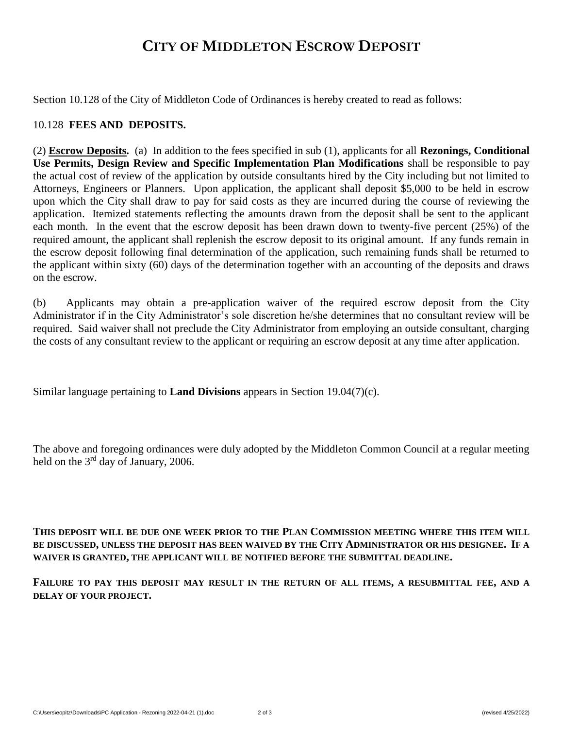## **CITY OF MIDDLETON ESCROW DEPOSIT**

Section 10.128 of the City of Middleton Code of Ordinances is hereby created to read as follows:

#### 10.128 **FEES AND DEPOSITS.**

(2) **Escrow Deposits.** (a) In addition to the fees specified in sub (1), applicants for all **Rezonings, Conditional Use Permits, Design Review and Specific Implementation Plan Modifications** shall be responsible to pay the actual cost of review of the application by outside consultants hired by the City including but not limited to Attorneys, Engineers or Planners. Upon application, the applicant shall deposit \$5,000 to be held in escrow upon which the City shall draw to pay for said costs as they are incurred during the course of reviewing the application. Itemized statements reflecting the amounts drawn from the deposit shall be sent to the applicant each month. In the event that the escrow deposit has been drawn down to twenty-five percent (25%) of the required amount, the applicant shall replenish the escrow deposit to its original amount. If any funds remain in the escrow deposit following final determination of the application, such remaining funds shall be returned to the applicant within sixty (60) days of the determination together with an accounting of the deposits and draws on the escrow.

(b) Applicants may obtain a pre-application waiver of the required escrow deposit from the City Administrator if in the City Administrator's sole discretion he/she determines that no consultant review will be required. Said waiver shall not preclude the City Administrator from employing an outside consultant, charging the costs of any consultant review to the applicant or requiring an escrow deposit at any time after application.

Similar language pertaining to **Land Divisions** appears in Section 19.04(7)(c).

The above and foregoing ordinances were duly adopted by the Middleton Common Council at a regular meeting held on the  $3<sup>rd</sup>$  day of January, 2006.

**THIS DEPOSIT WILL BE DUE ONE WEEK PRIOR TO THE PLAN COMMISSION MEETING WHERE THIS ITEM WILL BE DISCUSSED, UNLESS THE DEPOSIT HAS BEEN WAIVED BY THE CITY ADMINISTRATOR OR HIS DESIGNEE. IF A WAIVER IS GRANTED, THE APPLICANT WILL BE NOTIFIED BEFORE THE SUBMITTAL DEADLINE.**

**FAILURE TO PAY THIS DEPOSIT MAY RESULT IN THE RETURN OF ALL ITEMS, A RESUBMITTAL FEE, AND A DELAY OF YOUR PROJECT.**